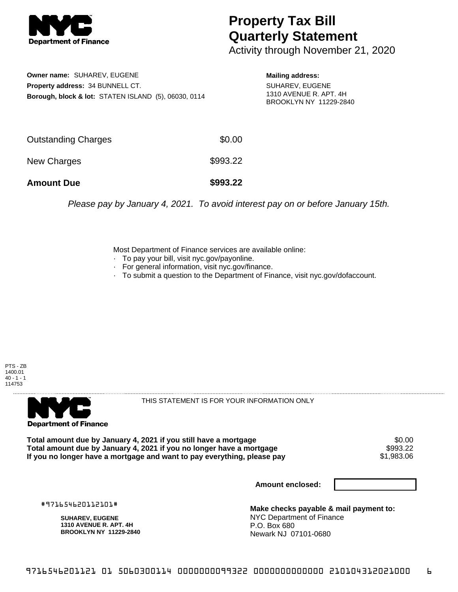

## **Property Tax Bill Quarterly Statement**

Activity through November 21, 2020

**Owner name:** SUHAREV, EUGENE **Property address:** 34 BUNNELL CT. **Borough, block & lot:** STATEN ISLAND (5), 06030, 0114

**Mailing address:** SUHAREV, EUGENE 1310 AVENUE R. APT. 4H BROOKLYN NY 11229-2840

| <b>Amount Due</b>   | \$993.22 |
|---------------------|----------|
| New Charges         | \$993.22 |
| Outstanding Charges | \$0.00   |

Please pay by January 4, 2021. To avoid interest pay on or before January 15th.

Most Department of Finance services are available online:

- · To pay your bill, visit nyc.gov/payonline.
- For general information, visit nyc.gov/finance.
- · To submit a question to the Department of Finance, visit nyc.gov/dofaccount.





THIS STATEMENT IS FOR YOUR INFORMATION ONLY

Total amount due by January 4, 2021 if you still have a mortgage \$0.00<br>Total amount due by January 4, 2021 if you no longer have a mortgage \$993.22 **Total amount due by January 4, 2021 if you no longer have a mortgage \$993.22**<br>If you no longer have a mortgage and want to pay everything, please pay \$1,983.06 If you no longer have a mortgage and want to pay everything, please pay

**Amount enclosed:**

#971654620112101#

**SUHAREV, EUGENE 1310 AVENUE R. APT. 4H BROOKLYN NY 11229-2840**

**Make checks payable & mail payment to:** NYC Department of Finance P.O. Box 680 Newark NJ 07101-0680